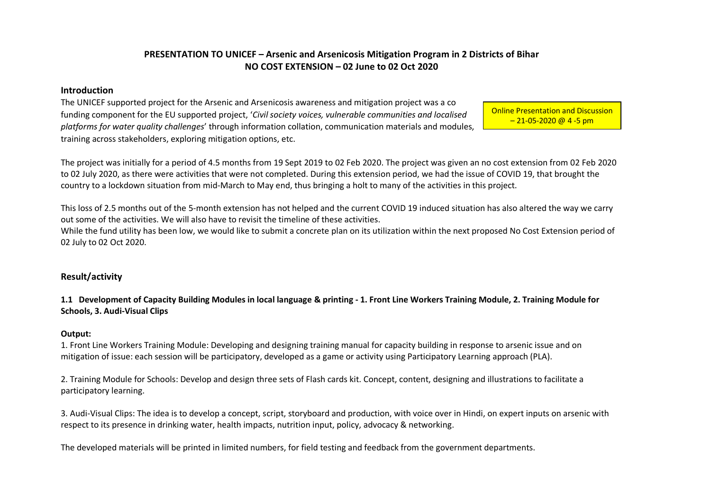# **PRESENTATION TO UNICEF – Arsenic and Arsenicosis Mitigation Program in 2 Districts of Bihar NO COST EXTENSION – 02 June to 02 Oct 2020**

### **Introduction**

The UNICEF supported project for the Arsenic and Arsenicosis awareness and mitigation project was a co funding component for the EU supported project, '*Civil society voices, vulnerable communities and localised platforms for water quality challenges*' through information collation, communication materials and modules, training across stakeholders, exploring mitigation options, etc.

Online Presentation and Discussion  $-21 - 05 - 2020$  @ 4 -5 pm

The project was initially for a period of 4.5 months from 19 Sept 2019 to 02 Feb 2020. The project was given an no cost extension from 02 Feb 2020 to 02 July 2020, as there were activities that were not completed. During this extension period, we had the issue of COVID 19, that brought the country to a lockdown situation from mid-March to May end, thus bringing a holt to many of the activities in this project.

This loss of 2.5 months out of the 5-month extension has not helped and the current COVID 19 induced situation has also altered the way we carry out some of the activities. We will also have to revisit the timeline of these activities.

While the fund utility has been low, we would like to submit a concrete plan on its utilization within the next proposed No Cost Extension period of 02 July to 02 Oct 2020.

# **Result/activity**

**1.1 Development of Capacity Building Modules in local language & printing - 1. Front Line Workers Training Module, 2. Training Module for Schools, 3. Audi-Visual Clips**

### **Output:**

1. Front Line Workers Training Module: Developing and designing training manual for capacity building in response to arsenic issue and on mitigation of issue: each session will be participatory, developed as a game or activity using Participatory Learning approach (PLA).

2. Training Module for Schools: Develop and design three sets of Flash cards kit. Concept, content, designing and illustrations to facilitate a participatory learning.

3. Audi-Visual Clips: The idea is to develop a concept, script, storyboard and production, with voice over in Hindi, on expert inputs on arsenic with respect to its presence in drinking water, health impacts, nutrition input, policy, advocacy & networking.

The developed materials will be printed in limited numbers, for field testing and feedback from the government departments.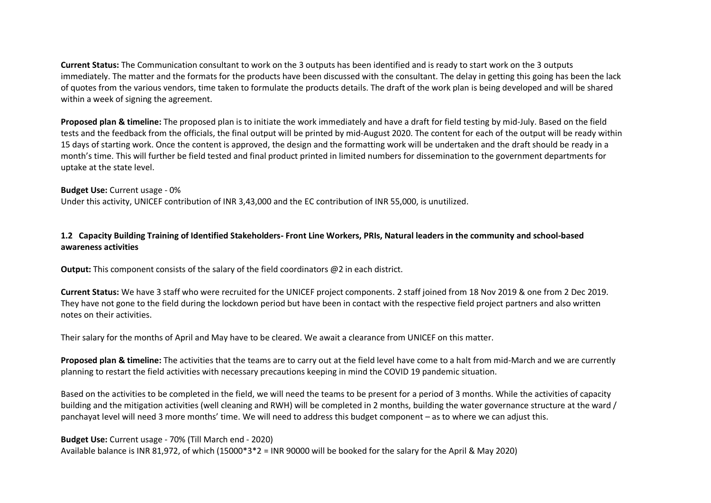**Current Status:** The Communication consultant to work on the 3 outputs has been identified and is ready to start work on the 3 outputs immediately. The matter and the formats for the products have been discussed with the consultant. The delay in getting this going has been the lack of quotes from the various vendors, time taken to formulate the products details. The draft of the work plan is being developed and will be shared within a week of signing the agreement.

**Proposed plan & timeline:** The proposed plan is to initiate the work immediately and have a draft for field testing by mid-July. Based on the field tests and the feedback from the officials, the final output will be printed by mid-August 2020. The content for each of the output will be ready within 15 days of starting work. Once the content is approved, the design and the formatting work will be undertaken and the draft should be ready in a month's time. This will further be field tested and final product printed in limited numbers for dissemination to the government departments for uptake at the state level.

### **Budget Use:** Current usage - 0%

Under this activity, UNICEF contribution of INR 3,43,000 and the EC contribution of INR 55,000, is unutilized.

# **1.2 Capacity Building Training of Identified Stakeholders- Front Line Workers, PRIs, Natural leaders in the community and school-based awareness activities**

**Output:** This component consists of the salary of the field coordinators @2 in each district.

**Current Status:** We have 3 staff who were recruited for the UNICEF project components. 2 staff joined from 18 Nov 2019 & one from 2 Dec 2019. They have not gone to the field during the lockdown period but have been in contact with the respective field project partners and also written notes on their activities.

Their salary for the months of April and May have to be cleared. We await a clearance from UNICEF on this matter.

**Proposed plan & timeline:** The activities that the teams are to carry out at the field level have come to a halt from mid-March and we are currently planning to restart the field activities with necessary precautions keeping in mind the COVID 19 pandemic situation.

Based on the activities to be completed in the field, we will need the teams to be present for a period of 3 months. While the activities of capacity building and the mitigation activities (well cleaning and RWH) will be completed in 2 months, building the water governance structure at the ward / panchayat level will need 3 more months' time. We will need to address this budget component – as to where we can adjust this.

**Budget Use:** Current usage - 70% (Till March end - 2020) Available balance is INR 81,972, of which (15000\*3\*2 = INR 90000 will be booked for the salary for the April & May 2020)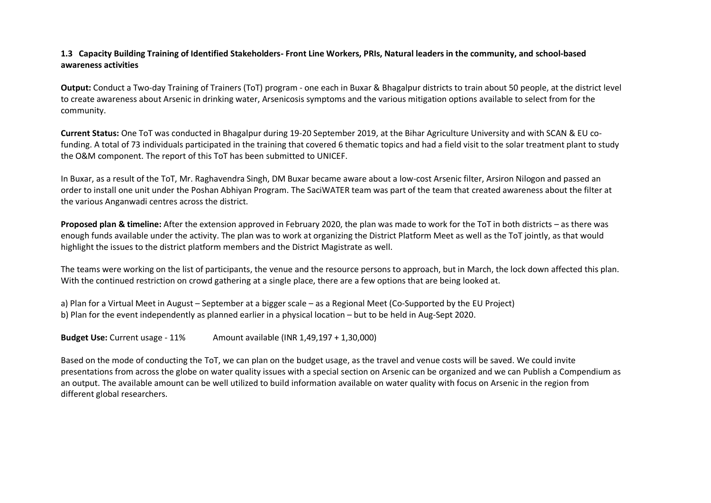# **1.3 Capacity Building Training of Identified Stakeholders- Front Line Workers, PRIs, Natural leaders in the community, and school-based awareness activities**

**Output:** Conduct a Two-day Training of Trainers (ToT) program - one each in Buxar & Bhagalpur districts to train about 50 people, at the district level to create awareness about Arsenic in drinking water, Arsenicosis symptoms and the various mitigation options available to select from for the community.

**Current Status:** One ToT was conducted in Bhagalpur during 19-20 September 2019, at the Bihar Agriculture University and with SCAN & EU cofunding. A total of 73 individuals participated in the training that covered 6 thematic topics and had a field visit to the solar treatment plant to study the O&M component. The report of this ToT has been submitted to UNICEF.

In Buxar, as a result of the ToT, Mr. Raghavendra Singh, DM Buxar became aware about a low-cost Arsenic filter, Arsiron Nilogon and passed an order to install one unit under the Poshan Abhiyan Program. The SaciWATER team was part of the team that created awareness about the filter at the various Anganwadi centres across the district.

**Proposed plan & timeline:** After the extension approved in February 2020, the plan was made to work for the ToT in both districts – as there was enough funds available under the activity. The plan was to work at organizing the District Platform Meet as well as the ToT jointly, as that would highlight the issues to the district platform members and the District Magistrate as well.

The teams were working on the list of participants, the venue and the resource persons to approach, but in March, the lock down affected this plan. With the continued restriction on crowd gathering at a single place, there are a few options that are being looked at.

a) Plan for a Virtual Meet in August – September at a bigger scale – as a Regional Meet (Co-Supported by the EU Project) b) Plan for the event independently as planned earlier in a physical location – but to be held in Aug-Sept 2020.

**Budget Use:** Current usage - 11% Amount available (INR 1,49,197 + 1,30,000)

Based on the mode of conducting the ToT, we can plan on the budget usage, as the travel and venue costs will be saved. We could invite presentations from across the globe on water quality issues with a special section on Arsenic can be organized and we can Publish a Compendium as an output. The available amount can be well utilized to build information available on water quality with focus on Arsenic in the region from different global researchers.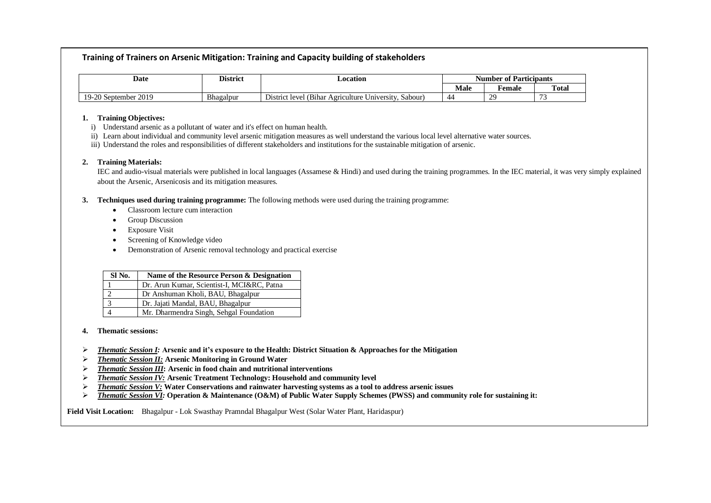### **Training of Trainers on Arsenic Mitigation: Training and Capacity building of stakeholders**

| Date                                          | <b>District</b> | <b>_ocation</b>                                                                                                   | <sup>e</sup> Participants<br>Number of |        |                          |
|-----------------------------------------------|-----------------|-------------------------------------------------------------------------------------------------------------------|----------------------------------------|--------|--------------------------|
|                                               |                 |                                                                                                                   | Male                                   | remale | Total                    |
| $\Omega$<br>2019<br>$1Q_{-}$<br>-20 September | Bhagalpur       | $ -$<br>$\sim$<br>$\mathbf{r}$<br>Dıstrıo<br>ict level (Bihar<br>Sabour <sup>'</sup><br>r Agriculture University. | $\overline{\phantom{a}}$               | ാറ     | $\overline{\phantom{a}}$ |

#### **1. Training Objectives:**

- i) Understand arsenic as a pollutant of water and it's effect on human health.
- ii) Learn about individual and community level arsenic mitigation measures as well understand the various local level alternative water sources.
- iii) Understand the roles and responsibilities of different stakeholders and institutions for the sustainable mitigation of arsenic.

#### **2. Training Materials:**

IEC and audio-visual materials were published in local languages (Assamese & Hindi) and used during the training programmes. In the IEC material, it was very simply explained about the Arsenic, Arsenicosis and its mitigation measures.

#### **3. Techniques used during training programme:** The following methods were used during the training programme:

- Classroom lecture cum interaction
- Group Discussion
- Exposure Visit
- Screening of Knowledge video
- Demonstration of Arsenic removal technology and practical exercise

| SI No. | Name of the Resource Person & Designation  |
|--------|--------------------------------------------|
|        | Dr. Arun Kumar, Scientist-I, MCI&RC, Patna |
|        | Dr Anshuman Kholi, BAU, Bhagalpur          |
|        | Dr. Jajati Mandal, BAU, Bhagalpur          |
|        | Mr. Dharmendra Singh, Sehgal Foundation    |

#### **4. Thematic sessions:**

- ➢ *Thematic Session I:* **Arsenic and it's exposure to the Health: District Situation & Approaches for the Mitigation**
- ➢ *Thematic Session II:* **Arsenic Monitoring in Ground Water**
- ➢ *Thematic Session III***: Arsenic in food chain and nutritional interventions**
- ➢ *Thematic Session IV:* **Arsenic Treatment Technology: Household and community level**
- ➢ *Thematic Session V:* **Water Conservations and rainwater harvesting systems as a tool to address arsenic issues**
- ➢ *Thematic Session VI:* **Operation & Maintenance (O&M) of Public Water Supply Schemes (PWSS) and community role for sustaining it:**

**Field Visit Location:** Bhagalpur - Lok Swasthay Pramndal Bhagalpur West (Solar Water Plant, Haridaspur)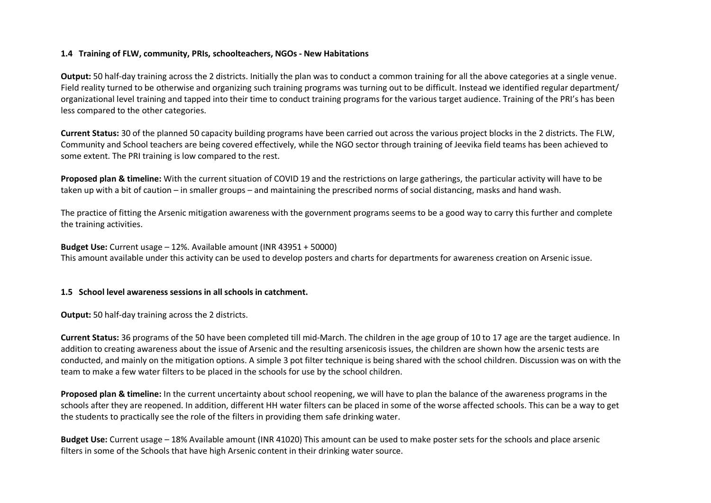## **1.4 Training of FLW, community, PRIs, schoolteachers, NGOs - New Habitations**

**Output:** 50 half-day training across the 2 districts. Initially the plan was to conduct a common training for all the above categories at a single venue. Field reality turned to be otherwise and organizing such training programs was turning out to be difficult. Instead we identified regular department/ organizational level training and tapped into their time to conduct training programs for the various target audience. Training of the PRI's has been less compared to the other categories.

**Current Status:** 30 of the planned 50 capacity building programs have been carried out across the various project blocks in the 2 districts. The FLW, Community and School teachers are being covered effectively, while the NGO sector through training of Jeevika field teams has been achieved to some extent. The PRI training is low compared to the rest.

**Proposed plan & timeline:** With the current situation of COVID 19 and the restrictions on large gatherings, the particular activity will have to be taken up with a bit of caution – in smaller groups – and maintaining the prescribed norms of social distancing, masks and hand wash.

The practice of fitting the Arsenic mitigation awareness with the government programs seems to be a good way to carry this further and complete the training activities.

**Budget Use:** Current usage – 12%. Available amount (INR 43951 + 50000) This amount available under this activity can be used to develop posters and charts for departments for awareness creation on Arsenic issue.

### **1.5 School level awareness sessions in all schools in catchment.**

**Output:** 50 half-day training across the 2 districts.

**Current Status:** 36 programs of the 50 have been completed till mid-March. The children in the age group of 10 to 17 age are the target audience. In addition to creating awareness about the issue of Arsenic and the resulting arsenicosis issues, the children are shown how the arsenic tests are conducted, and mainly on the mitigation options. A simple 3 pot filter technique is being shared with the school children. Discussion was on with the team to make a few water filters to be placed in the schools for use by the school children.

**Proposed plan & timeline:** In the current uncertainty about school reopening, we will have to plan the balance of the awareness programs in the schools after they are reopened. In addition, different HH water filters can be placed in some of the worse affected schools. This can be a way to get the students to practically see the role of the filters in providing them safe drinking water.

**Budget Use:** Current usage – 18% Available amount (INR 41020) This amount can be used to make poster sets for the schools and place arsenic filters in some of the Schools that have high Arsenic content in their drinking water source.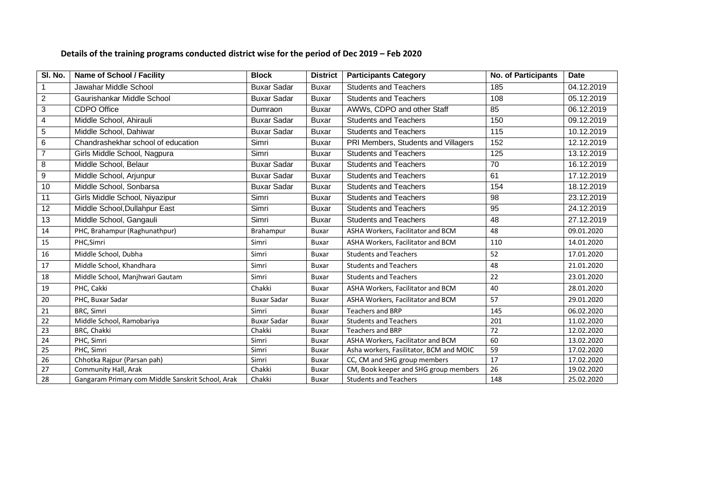# **Details of the training programs conducted district wise for the period of Dec 2019 – Feb 2020**

| SI. No.        | <b>Name of School / Facility</b>                  | <b>Block</b>       | <b>District</b> | <b>Participants Category</b>            | <b>No. of Participants</b> | Date       |
|----------------|---------------------------------------------------|--------------------|-----------------|-----------------------------------------|----------------------------|------------|
| $\mathbf{1}$   | Jawahar Middle School                             | <b>Buxar Sadar</b> | <b>Buxar</b>    | <b>Students and Teachers</b>            | 185                        | 04.12.2019 |
| $\overline{2}$ | Gaurishankar Middle School                        | <b>Buxar Sadar</b> | <b>Buxar</b>    | <b>Students and Teachers</b>            | 108                        | 05.12.2019 |
| $\mathbf{3}$   | <b>CDPO Office</b>                                | Dumraon            | <b>Buxar</b>    | AWWs, CDPO and other Staff              | 85                         | 06.12.2019 |
| $\overline{4}$ | Middle School, Ahirauli                           | <b>Buxar Sadar</b> | <b>Buxar</b>    | <b>Students and Teachers</b>            | 150                        | 09.12.2019 |
| $\sqrt{5}$     | Middle School, Dahiwar                            | <b>Buxar Sadar</b> | <b>Buxar</b>    | <b>Students and Teachers</b>            | 115                        | 10.12.2019 |
| 6              | Chandrashekhar school of education                | Simri              | <b>Buxar</b>    | PRI Members, Students and Villagers     | 152                        | 12.12.2019 |
| $\overline{7}$ | Girls Middle School, Nagpura                      | Simri              | <b>Buxar</b>    | <b>Students and Teachers</b>            | 125                        | 13.12.2019 |
| 8              | Middle School, Belaur                             | <b>Buxar Sadar</b> | <b>Buxar</b>    | <b>Students and Teachers</b>            | 70                         | 16.12.2019 |
| 9              | Middle School, Arjunpur                           | <b>Buxar Sadar</b> | <b>Buxar</b>    | <b>Students and Teachers</b>            | 61                         | 17.12.2019 |
| 10             | Middle School, Sonbarsa                           | <b>Buxar Sadar</b> | <b>Buxar</b>    | <b>Students and Teachers</b>            | 154                        | 18.12.2019 |
| 11             | Girls Middle School, Niyazipur                    | Simri              | <b>Buxar</b>    | <b>Students and Teachers</b>            | 98                         | 23.12.2019 |
| 12             | Middle School, Dullahpur East                     | Simri              | <b>Buxar</b>    | <b>Students and Teachers</b>            | $\overline{95}$            | 24.12.2019 |
| 13             | Middle School, Gangauli                           | Simri              | <b>Buxar</b>    | <b>Students and Teachers</b>            | 48                         | 27.12.2019 |
| 14             | PHC, Brahampur (Raghunathpur)                     | Brahampur          | Buxar           | ASHA Workers, Facilitator and BCM       | 48                         | 09.01.2020 |
| 15             | PHC, Simri                                        | Simri              | Buxar           | ASHA Workers, Facilitator and BCM       | 110                        | 14.01.2020 |
| 16             | Middle School, Dubha                              | Simri              | <b>Buxar</b>    | <b>Students and Teachers</b>            | 52                         | 17.01.2020 |
| 17             | Middle School, Khandhara                          | Simri              | Buxar           | <b>Students and Teachers</b>            | 48                         | 21.01.2020 |
| 18             | Middle School, Manjhwari Gautam                   | Simri              | Buxar           | <b>Students and Teachers</b>            | 22                         | 23.01.2020 |
| 19             | PHC, Cakki                                        | Chakki             | Buxar           | ASHA Workers, Facilitator and BCM       | 40                         | 28.01.2020 |
| 20             | PHC, Buxar Sadar                                  | <b>Buxar Sadar</b> | <b>Buxar</b>    | ASHA Workers, Facilitator and BCM       | 57                         | 29.01.2020 |
| 21             | BRC, Simri                                        | Simri              | <b>Buxar</b>    | <b>Teachers and BRP</b>                 | 145                        | 06.02.2020 |
| 22             | Middle School, Ramobariya                         | <b>Buxar Sadar</b> | Buxar           | <b>Students and Teachers</b>            | 201                        | 11.02.2020 |
| 23             | BRC, Chakki                                       | Chakki             | Buxar           | <b>Teachers and BRP</b>                 | 72                         | 12.02.2020 |
| 24             | PHC, Simri                                        | Simri              | <b>Buxar</b>    | ASHA Workers, Facilitator and BCM       | 60                         | 13.02.2020 |
| 25             | PHC. Simri                                        | Simri              | <b>Buxar</b>    | Asha workers, Fasilitator, BCM and MOIC | 59                         | 17.02.2020 |
| 26             | Chhotka Rajpur (Parsan pah)                       | Simri              | <b>Buxar</b>    | CC, CM and SHG group members            | 17                         | 17.02.2020 |
| 27             | Community Hall, Arak                              | Chakki             | Buxar           | CM, Book keeper and SHG group members   | 26                         | 19.02.2020 |
| 28             | Gangaram Primary com Middle Sanskrit School, Arak | Chakki             | <b>Buxar</b>    | <b>Students and Teachers</b>            | 148                        | 25.02.2020 |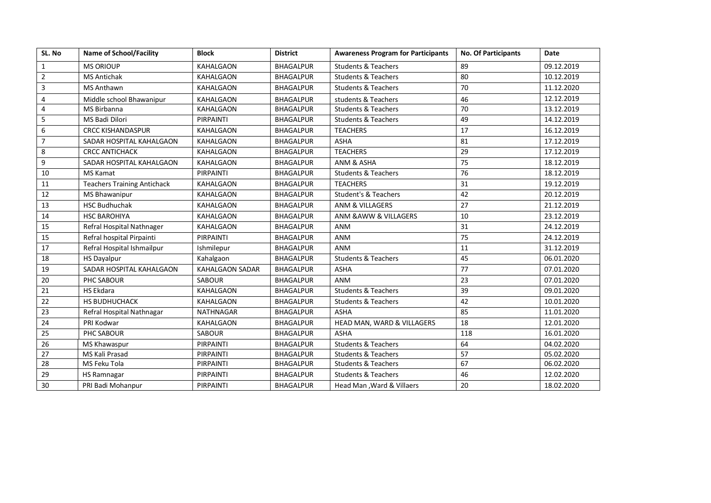| SL. No         | <b>Name of School/Facility</b>     | <b>Block</b>           | <b>District</b>  | <b>Awareness Program for Participants</b> | <b>No. Of Participants</b> | <b>Date</b> |
|----------------|------------------------------------|------------------------|------------------|-------------------------------------------|----------------------------|-------------|
| $\mathbf{1}$   | <b>MS ORIOUP</b>                   | <b>KAHALGAON</b>       | <b>BHAGALPUR</b> | <b>Students &amp; Teachers</b>            | 89                         | 09.12.2019  |
| $\overline{2}$ | <b>MS Antichak</b>                 | <b>KAHALGAON</b>       | <b>BHAGALPUR</b> | <b>Students &amp; Teachers</b>            | 80                         | 10.12.2019  |
| $\overline{3}$ | <b>MS Anthawn</b>                  | <b>KAHALGAON</b>       | <b>BHAGALPUR</b> | <b>Students &amp; Teachers</b>            | 70                         | 11.12.2020  |
| 4              | Middle school Bhawanipur           | KAHALGAON              | <b>BHAGALPUR</b> | students & Teachers                       | 46                         | 12.12.2019  |
| $\overline{4}$ | <b>MS Birbanna</b>                 | KAHALGAON              | <b>BHAGALPUR</b> | <b>Students &amp; Teachers</b>            | 70                         | 13.12.2019  |
| 5              | MS Badi Dilori                     | PIRPAINTI              | <b>BHAGALPUR</b> | <b>Students &amp; Teachers</b>            | 49                         | 14.12.2019  |
| 6              | <b>CRCC KISHANDASPUR</b>           | KAHALGAON              | <b>BHAGALPUR</b> | <b>TEACHERS</b>                           | 17                         | 16.12.2019  |
| $\overline{7}$ | SADAR HOSPITAL KAHALGAON           | <b>KAHALGAON</b>       | <b>BHAGALPUR</b> | <b>ASHA</b>                               | 81                         | 17.12.2019  |
| 8              | <b>CRCC ANTICHACK</b>              | <b>KAHALGAON</b>       | <b>BHAGALPUR</b> | <b>TEACHERS</b>                           | 29                         | 17.12.2019  |
| 9              | SADAR HOSPITAL KAHALGAON           | KAHALGAON              | <b>BHAGALPUR</b> | ANM & ASHA                                | 75                         | 18.12.2019  |
| 10             | <b>MS Kamat</b>                    | PIRPAINTI              | <b>BHAGALPUR</b> | <b>Students &amp; Teachers</b>            | 76                         | 18.12.2019  |
| 11             | <b>Teachers Training Antichack</b> | <b>KAHALGAON</b>       | <b>BHAGALPUR</b> | <b>TEACHERS</b>                           | 31                         | 19.12.2019  |
| 12             | MS Bhawanipur                      | KAHALGAON              | <b>BHAGALPUR</b> | <b>Student's &amp; Teachers</b>           | 42                         | 20.12.2019  |
| 13             | <b>HSC Budhuchak</b>               | <b>KAHALGAON</b>       | <b>BHAGALPUR</b> | <b>ANM &amp; VILLAGERS</b>                | 27                         | 21.12.2019  |
| 14             | <b>HSC BAROHIYA</b>                | <b>KAHALGAON</b>       | <b>BHAGALPUR</b> | ANM & AWW & VILLAGERS                     | 10                         | 23.12.2019  |
| 15             | Refral Hospital Nathnager          | KAHALGAON              | <b>BHAGALPUR</b> | <b>ANM</b>                                | 31                         | 24.12.2019  |
| 15             | Refral hospital Pirpainti          | PIRPAINTI              | <b>BHAGALPUR</b> | <b>ANM</b>                                | 75                         | 24.12.2019  |
| 17             | Refral Hospital Ishmailpur         | Ishmilepur             | <b>BHAGALPUR</b> | <b>ANM</b>                                | 11                         | 31.12.2019  |
| 18             | <b>HS Dayalpur</b>                 | Kahalgaon              | <b>BHAGALPUR</b> | <b>Students &amp; Teachers</b>            | 45                         | 06.01.2020  |
| 19             | SADAR HOSPITAL KAHALGAON           | <b>KAHALGAON SADAR</b> | <b>BHAGALPUR</b> | <b>ASHA</b>                               | 77                         | 07.01.2020  |
| 20             | PHC SABOUR                         | <b>SABOUR</b>          | <b>BHAGALPUR</b> | <b>ANM</b>                                | 23                         | 07.01.2020  |
| 21             | <b>HS Ekdara</b>                   | <b>KAHALGAON</b>       | <b>BHAGALPUR</b> | <b>Students &amp; Teachers</b>            | 39                         | 09.01.2020  |
| 22             | <b>HS BUDHUCHACK</b>               | KAHALGAON              | <b>BHAGALPUR</b> | <b>Students &amp; Teachers</b>            | 42                         | 10.01.2020  |
| 23             | Refral Hospital Nathnagar          | <b>NATHNAGAR</b>       | <b>BHAGALPUR</b> | <b>ASHA</b>                               | 85                         | 11.01.2020  |
| 24             | PRI Kodwar                         | <b>KAHALGAON</b>       | <b>BHAGALPUR</b> | HEAD MAN, WARD & VILLAGERS                | 18                         | 12.01.2020  |
| 25             | PHC SABOUR                         | <b>SABOUR</b>          | <b>BHAGALPUR</b> | <b>ASHA</b>                               | 118                        | 16.01.2020  |
| 26             | MS Khawaspur                       | PIRPAINTI              | <b>BHAGALPUR</b> | <b>Students &amp; Teachers</b>            | 64                         | 04.02.2020  |
| 27             | MS Kali Prasad                     | PIRPAINTI              | <b>BHAGALPUR</b> | <b>Students &amp; Teachers</b>            | 57                         | 05.02.2020  |
| 28             | MS Feku Tola                       | PIRPAINTI              | <b>BHAGALPUR</b> | <b>Students &amp; Teachers</b>            | 67                         | 06.02.2020  |
| 29             | HS Ramnagar                        | PIRPAINTI              | <b>BHAGALPUR</b> | <b>Students &amp; Teachers</b>            | 46                         | 12.02.2020  |
| 30             | PRI Badi Mohanpur                  | PIRPAINTI              | <b>BHAGALPUR</b> | Head Man, Ward & Villaers                 | 20                         | 18.02.2020  |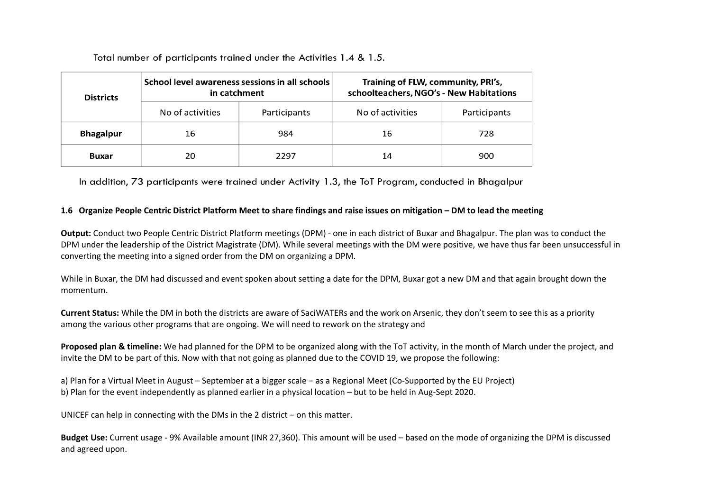Total number of participants trained under the Activities 1.4 & 1.5.

| <b>Districts</b> | School level awareness sessions in all schools<br>in catchment |              | Training of FLW, community, PRI's,<br>schoolteachers, NGO's - New Habitations |              |  |
|------------------|----------------------------------------------------------------|--------------|-------------------------------------------------------------------------------|--------------|--|
|                  | No of activities                                               | Participants | No of activities                                                              | Participants |  |
| <b>Bhagalpur</b> | 16                                                             | 984          | 16                                                                            | 728          |  |
| <b>Buxar</b>     | 20                                                             | 2297         | 14                                                                            | 900          |  |

In addition, 73 participants were trained under Activity 1.3, the ToT Program, conducted in Bhagalpur

## **1.6 Organize People Centric District Platform Meet to share findings and raise issues on mitigation – DM to lead the meeting**

**Output:** Conduct two People Centric District Platform meetings (DPM) - one in each district of Buxar and Bhagalpur. The plan was to conduct the DPM under the leadership of the District Magistrate (DM). While several meetings with the DM were positive, we have thus far been unsuccessful in converting the meeting into a signed order from the DM on organizing a DPM.

While in Buxar, the DM had discussed and event spoken about setting a date for the DPM, Buxar got a new DM and that again brought down the momentum.

**Current Status:** While the DM in both the districts are aware of SaciWATERs and the work on Arsenic, they don't seem to see this as a priority among the various other programs that are ongoing. We will need to rework on the strategy and

**Proposed plan & timeline:** We had planned for the DPM to be organized along with the ToT activity, in the month of March under the project, and invite the DM to be part of this. Now with that not going as planned due to the COVID 19, we propose the following:

a) Plan for a Virtual Meet in August – September at a bigger scale – as a Regional Meet (Co-Supported by the EU Project) b) Plan for the event independently as planned earlier in a physical location – but to be held in Aug-Sept 2020.

UNICEF can help in connecting with the DMs in the 2 district – on this matter.

**Budget Use:** Current usage - 9% Available amount (INR 27,360). This amount will be used – based on the mode of organizing the DPM is discussed and agreed upon.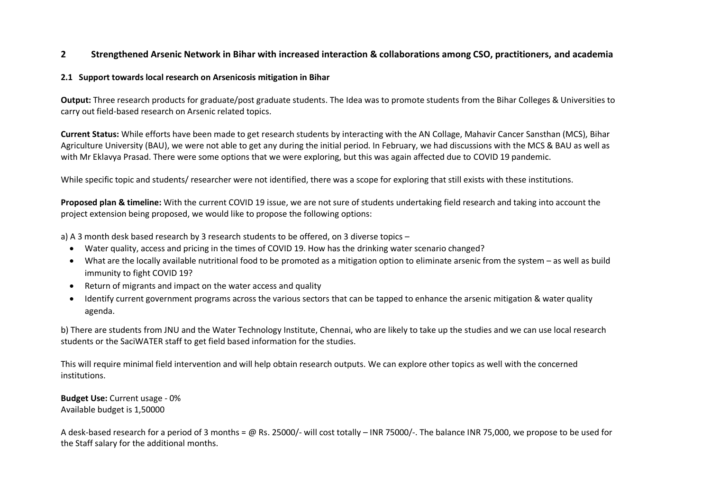# **2 Strengthened Arsenic Network in Bihar with increased interaction & collaborations among CSO, practitioners, and academia**

## **2.1 Support towards local research on Arsenicosis mitigation in Bihar**

**Output:** Three research products for graduate/post graduate students. The Idea was to promote students from the Bihar Colleges & Universities to carry out field-based research on Arsenic related topics.

**Current Status:** While efforts have been made to get research students by interacting with the AN Collage, Mahavir Cancer Sansthan (MCS), Bihar Agriculture University (BAU), we were not able to get any during the initial period. In February, we had discussions with the MCS & BAU as well as with Mr Eklavya Prasad. There were some options that we were exploring, but this was again affected due to COVID 19 pandemic.

While specific topic and students/ researcher were not identified, there was a scope for exploring that still exists with these institutions.

**Proposed plan & timeline:** With the current COVID 19 issue, we are not sure of students undertaking field research and taking into account the project extension being proposed, we would like to propose the following options:

a) A 3 month desk based research by 3 research students to be offered, on 3 diverse topics –

- Water quality, access and pricing in the times of COVID 19. How has the drinking water scenario changed?
- What are the locally available nutritional food to be promoted as a mitigation option to eliminate arsenic from the system as well as build immunity to fight COVID 19?
- Return of migrants and impact on the water access and quality
- Identify current government programs across the various sectors that can be tapped to enhance the arsenic mitigation & water quality agenda.

b) There are students from JNU and the Water Technology Institute, Chennai, who are likely to take up the studies and we can use local research students or the SaciWATER staff to get field based information for the studies.

This will require minimal field intervention and will help obtain research outputs. We can explore other topics as well with the concerned institutions.

**Budget Use:** Current usage - 0% Available budget is 1,50000

A desk-based research for a period of 3 months = @ Rs. 25000/- will cost totally – INR 75000/-. The balance INR 75,000, we propose to be used for the Staff salary for the additional months.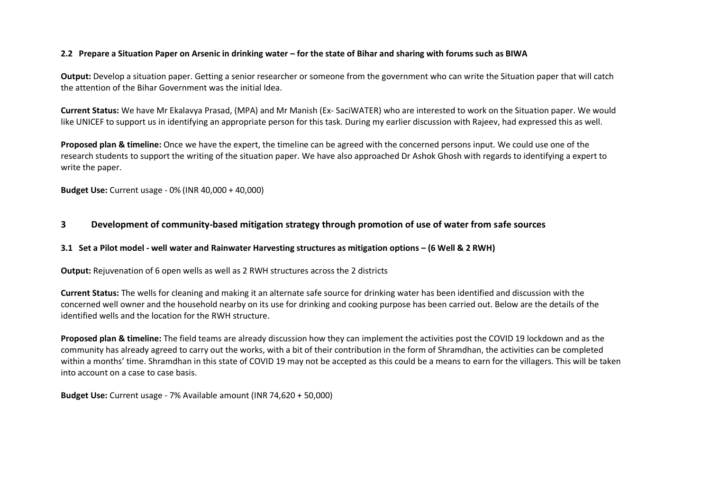## **2.2 Prepare a Situation Paper on Arsenic in drinking water – for the state of Bihar and sharing with forums such as BIWA**

**Output:** Develop a situation paper. Getting a senior researcher or someone from the government who can write the Situation paper that will catch the attention of the Bihar Government was the initial Idea.

**Current Status:** We have Mr Ekalavya Prasad, (MPA) and Mr Manish (Ex- SaciWATER) who are interested to work on the Situation paper. We would like UNICEF to support us in identifying an appropriate person for this task. During my earlier discussion with Rajeev, had expressed this as well.

**Proposed plan & timeline:** Once we have the expert, the timeline can be agreed with the concerned persons input. We could use one of the research students to support the writing of the situation paper. We have also approached Dr Ashok Ghosh with regards to identifying a expert to write the paper.

**Budget Use:** Current usage - 0% (INR 40,000 + 40,000)

## **3 Development of community-based mitigation strategy through promotion of use of water from safe sources**

#### **3.1 Set a Pilot model - well water and Rainwater Harvesting structures as mitigation options – (6 Well & 2 RWH)**

**Output:** Rejuvenation of 6 open wells as well as 2 RWH structures across the 2 districts

**Current Status:** The wells for cleaning and making it an alternate safe source for drinking water has been identified and discussion with the concerned well owner and the household nearby on its use for drinking and cooking purpose has been carried out. Below are the details of the identified wells and the location for the RWH structure.

**Proposed plan & timeline:** The field teams are already discussion how they can implement the activities post the COVID 19 lockdown and as the community has already agreed to carry out the works, with a bit of their contribution in the form of Shramdhan, the activities can be completed within a months' time. Shramdhan in this state of COVID 19 may not be accepted as this could be a means to earn for the villagers. This will be taken into account on a case to case basis.

**Budget Use:** Current usage - 7% Available amount (INR 74,620 + 50,000)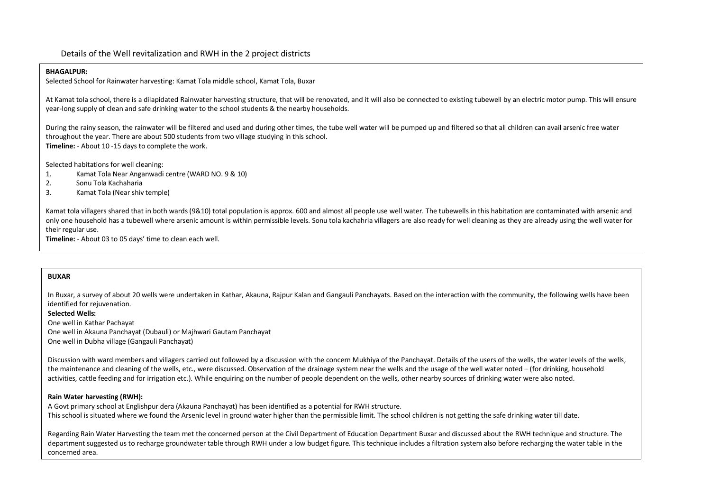Details of the Well revitalization and RWH in the 2 project districts

#### **BHAGALPUR:**

Selected School for Rainwater harvesting: Kamat Tola middle school, Kamat Tola, Buxar

At Kamat tola school, there is a dilapidated Rainwater harvesting structure, that will be renovated, and it will also be connected to existing tubewell by an electric motor pump. This will ensure year-long supply of clean and safe drinking water to the school students & the nearby households.

During the rainy season, the rainwater will be filtered and used and during other times, the tube well water will be pumped up and filtered so that all children can avail arsenic free water throughout the year. There are about 500 students from two village studying in this school. **Timeline:** - About 10 -15 days to complete the work.

Selected habitations for well cleaning:

- 1. Kamat Tola Near Anganwadi centre (WARD NO. 9 & 10)
- 2. Sonu Tola Kachaharia
- 3. Kamat Tola (Near shiv temple)

Kamat tola villagers shared that in both wards(9&10) total population is approx. 600 and almost all people use well water. The tubewells in this habitation are contaminated with arsenic and only one household has a tubewell where arsenic amount is within permissible levels. Sonu tola kachahria villagers are also ready for well cleaning as they are already using the well water for their regular use.

**Timeline:** - About 03 to 05 days' time to clean each well.

#### **BUXAR**

In Buxar, a survey of about 20 wells were undertaken in Kathar, Akauna, Rajpur Kalan and Gangauli Panchayats. Based on the interaction with the community, the following wells have been identified for rejuvenation.

**Selected Wells:**

One well in Kathar Pachayat One well in Akauna Panchayat (Dubauli) or Majhwari Gautam Panchayat One well in Dubha village (Gangauli Panchayat)

Discussion with ward members and villagers carried out followed by a discussion with the concern Mukhiya of the Panchayat. Details of the users of the wells, the water levels of the wells, the maintenance and cleaning of the wells, etc., were discussed. Observation of the drainage system near the wells and the usage of the well water noted – (for drinking, household activities, cattle feeding and for irrigation etc.). While enquiring on the number of people dependent on the wells, other nearby sources of drinking water were also noted.

#### **Rain Water harvesting (RWH):**

A Govt primary school at Englishpur dera (Akauna Panchayat) has been identified as a potential for RWH structure. This school is situated where we found the Arsenic level in ground water higher than the permissible limit. The school children is not getting the safe drinking water till date.

Regarding Rain Water Harvesting the team met the concerned person at the Civil Department of Education Department Buxar and discussed about the RWH technique and structure. The department suggested us to recharge groundwater table through RWH under a low budget figure. This technique includes a filtration system also before recharging the water table in the concerned area.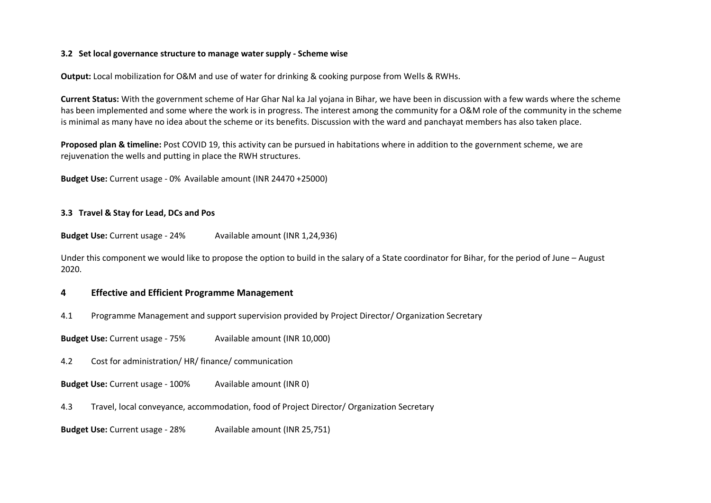### **3.2 Set local governance structure to manage water supply - Scheme wise**

**Output:** Local mobilization for O&M and use of water for drinking & cooking purpose from Wells & RWHs.

**Current Status:** With the government scheme of Har Ghar Nal ka Jal yojana in Bihar, we have been in discussion with a few wards where the scheme has been implemented and some where the work is in progress. The interest among the community for a O&M role of the community in the scheme is minimal as many have no idea about the scheme or its benefits. Discussion with the ward and panchayat members has also taken place.

**Proposed plan & timeline:** Post COVID 19, this activity can be pursued in habitations where in addition to the government scheme, we are rejuvenation the wells and putting in place the RWH structures.

**Budget Use:** Current usage - 0% Available amount (INR 24470 +25000)

### **3.3 Travel & Stay for Lead, DCs and Pos**

**Budget Use:** Current usage - 24% Available amount (INR 1,24,936)

Under this component we would like to propose the option to build in the salary of a State coordinator for Bihar, for the period of June – August 2020.

## **4 Effective and Efficient Programme Management**

4.1 Programme Management and support supervision provided by Project Director/ Organization Secretary

**Budget Use:** Current usage - 75% Available amount (INR 10,000)

4.2 Cost for administration/ HR/ finance/ communication

**Budget Use:** Current usage - 100% Available amount (INR 0)

4.3 Travel, local conveyance, accommodation, food of Project Director/ Organization Secretary

**Budget Use:** Current usage - 28% Available amount (INR 25,751)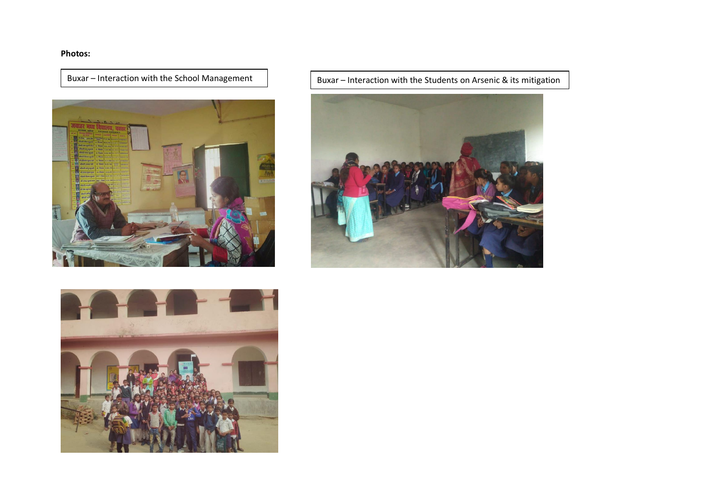# **Photos:**



Buxar – Interaction with the School Management  $\Box$  Buxar – Interaction with the Students on Arsenic & its mitigation



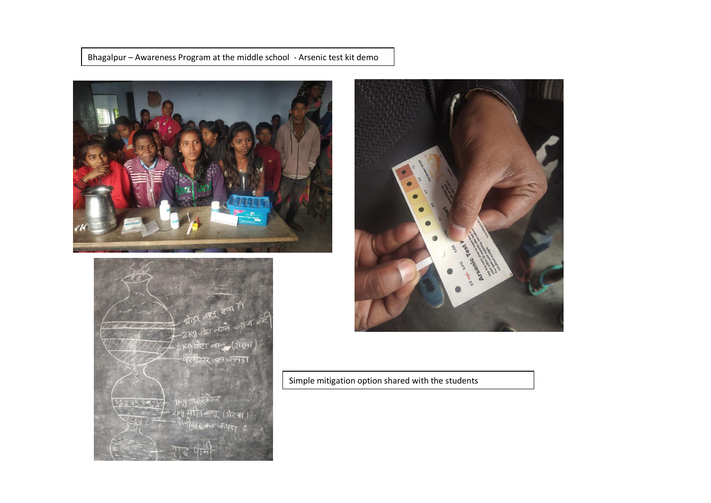Bhagalpur – Awareness Program at the middle school - Arsenic test kit demo







Simple mitigation option shared with the students